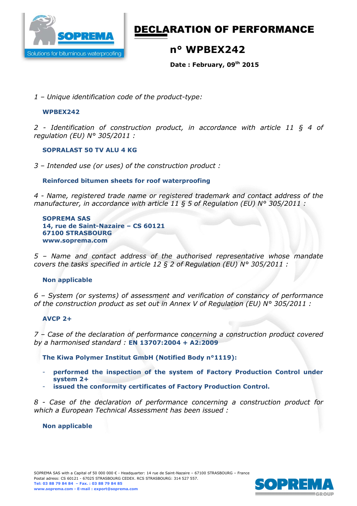

# DECLARATION OF PERFORMANCE

## **n° WPBEX242**

**Date : February, 09th 2015** 

*1 – Unique identification code of the product-type:*

#### **WPBEX242**

*2 - Identification of construction product, in accordance with article 11 § 4 of regulation (EU) N° 305/2011 :* 

#### **SOPRALAST 50 TV ALU 4 KG**

*3 – Intended use (or uses) of the construction product :* 

### **Reinforced bitumen sheets for roof waterproofing**

*4 - Name, registered trade name or registered trademark and contact address of the manufacturer, in accordance with article 11 § 5 of Regulation (EU) N° 305/2011 :* 

**SOPREMA SAS 14, rue de Saint-Nazaire – CS 60121 67100 STRASBOURG www.soprema.com** 

*5 – Name and contact address of the authorised representative whose mandate covers the tasks specified in article 12 § 2 of Regulation (EU) N° 305/2011 :* 

#### **Non applicable**

*6 – System (or systems) of assessment and verification of constancy of performance of the construction product as set out in Annex V of Regulation (EU) N° 305/2011 :* 

#### **AVCP 2+**

*7 – Case of the declaration of performance concerning a construction product covered by a harmonised standard :* **EN 13707:2004 + A2:2009** 

**The Kiwa Polymer Institut GmbH (Notified Body n°1119):** 

- **performed the inspection of the system of Factory Production Control under system 2+**
- **issued the conformity certificates of Factory Production Control.**

*8 - Case of the declaration of performance concerning a construction product for which a European Technical Assessment has been issued :* 

#### **Non applicable**